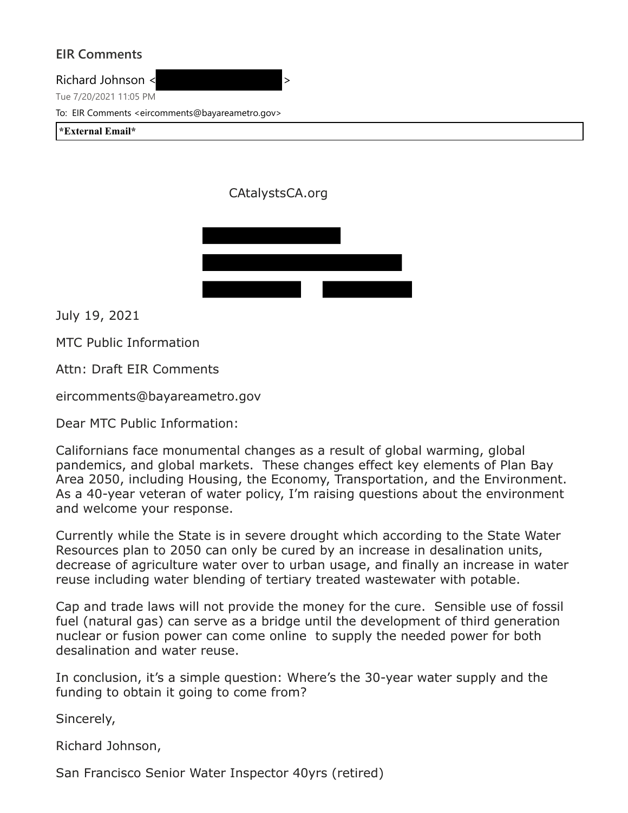## **EIR Comments**

Richard Johnson <  $\rightarrow$ 

Tue 7/20/2021 11:05 PM

To: EIR Comments <eircomments@bayareametro.gov>

**\*External Email\***

CAtalystsCA.org



July 19, 2021

MTC Public Information

Attn: Draft EIR Comments

eircomments@bayareametro.gov

Dear MTC Public Information:

Californians face monumental changes as a result of global warming, global pandemics, and global markets. These changes effect key elements of Plan Bay Area 2050, including Housing, the Economy, Transportation, and the Environment. As a 40-year veteran of water policy, I'm raising questions about the environment and welcome your response.

Currently while the State is in severe drought which according to the State Water Resources plan to 2050 can only be cured by an increase in desalination units, decrease of agriculture water over to urban usage, and finally an increase in water reuse including water blending of tertiary treated wastewater with potable.

Cap and trade laws will not provide the money for the cure. Sensible use of fossil fuel (natural gas) can serve as a bridge until the development of third generation nuclear or fusion power can come online to supply the needed power for both desalination and water reuse.

In conclusion, it's a simple question: Where's the 30-year water supply and the funding to obtain it going to come from?

Sincerely,

Richard Johnson,

San Francisco Senior Water Inspector 40yrs (retired)